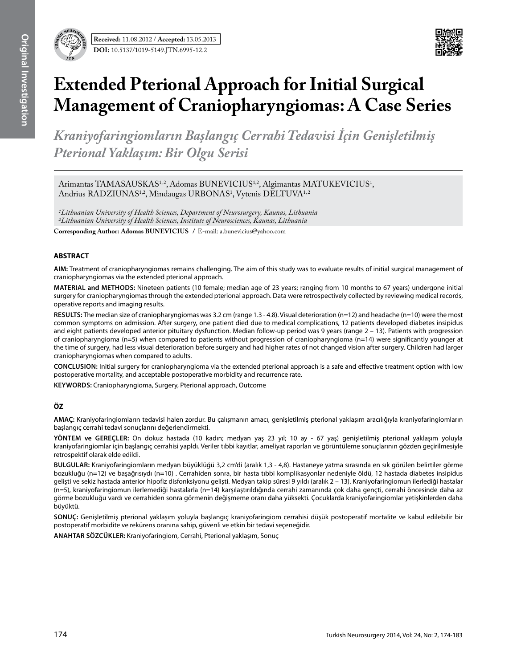

# **Extended Pterional Approach for Initial Surgical Management of Craniopharyngiomas: A Case Series**

*Kraniyofaringiomların Başlangıç Cerrahi Tedavisi İçin Genişletilmiş Pterional Yaklaşım: Bir Olgu Serisi*

Arimantas TAMASAUSKAS<sup>1,2</sup>, Adomas BUNEVICIUS<sup>1,2</sup>, Algimantas MATUKEVICIUS<sup>1</sup>, Andrius RADZIUNAS<sup>1,2</sup>, Mindaugas URBONAS<sup>1</sup>, Vytenis DELTUVA<sup>1,2</sup>

*1Lithuanian University of Health Sciences, Department of Neurosurgery, Kaunas, Lithuania 2Lithuanian University of Health Sciences, Institute of Neurosciences, Kaunas, Lithuania*

**Corresponding Author: Adomas Bunevıcıus /** E-mail: a.bunevicius@yahoo.com

## **ABSTRACT**

**AIm:** Treatment of craniopharyngiomas remains challenging. The aim of this study was to evaluate results of initial surgical management of craniopharyngiomas via the extended pterional approach.

**MaterIal and Methods:** Nineteen patients (10 female; median age of 23 years; ranging from 10 months to 67 years) undergone initial surgery for craniopharyngiomas through the extended pterional approach. Data were retrospectively collected by reviewing medical records, operative reports and imaging results.

**Results:** The median size of craniopharyngiomas was 3.2 cm (range 1.3 - 4.8). Visual deterioration (n=12) and headache (n=10) were the most common symptoms on admission. After surgery, one patient died due to medical complications, 12 patients developed diabetes insipidus and eight patients developed anterior pituitary dysfunction. Median follow-up period was 9 years (range 2 – 13). Patients with progression of craniopharyngioma (n=5) when compared to patients without progression of craniopharyngioma (n=14) were significantly younger at the time of surgery, had less visual deterioration before surgery and had higher rates of not changed vision after surgery. Children had larger craniopharyngiomas when compared to adults.

**ConclusIon:** Initial surgery for craniopharyngioma via the extended pterional approach is a safe and effective treatment option with low postoperative mortality, and acceptable postoperative morbidity and recurrence rate.

**Keywords:** Craniopharyngioma, Surgery, Pterional approach, Outcome

## **ÖZ**

**AMAÇ:** Kraniyofaringiomların tedavisi halen zordur. Bu çalışmanın amacı, genişletilmiş pterional yaklaşım aracılığıyla kraniyofaringiomların başlangıç cerrahi tedavi sonuçlarını değerlendirmekti.

**YÖNTEM ve GEREÇLER:** On dokuz hastada (10 kadın; medyan yaş 23 yıl; 10 ay - 67 yaş) genişletilmiş pterional yaklaşım yoluyla kraniyofaringiomlar için başlangıç cerrahisi yapldı. Veriler tıbbi kayıtlar, ameliyat raporları ve görüntüleme sonuçlarının gözden geçirilmesiyle retrospektif olarak elde edildi.

**BULGULAR:** Kraniyofaringiomların medyan büyüklüğü 3,2 cm'di (aralık 1,3 - 4,8). Hastaneye yatma sırasında en sık görülen belirtiler görme bozukluğu (n=12) ve başağrısıydı (n=10) . Cerrahiden sonra, bir hasta tıbbi komplikasyonlar nedeniyle öldü, 12 hastada diabetes insipidus gelişti ve sekiz hastada anterior hipofiz disfonksiyonu gelişti. Medyan takip süresi 9 yıldı (aralık 2 – 13). Kraniyofaringiomun ilerlediği hastalar (n=5), kraniyofaringiomun ilerlemediği hastalarla (n=14) karşılaştırıldığında cerrahi zamanında çok daha gençti, cerrahi öncesinde daha az görme bozukluğu vardı ve cerrahiden sonra görmenin değişmeme oranı daha yüksekti. Çocuklarda kraniyofaringiomlar yetişkinlerden daha büyüktü.

**SONUÇ:** Genişletilmiş pterional yaklaşım yoluyla başlangıç kraniyofaringiom cerrahisi düşük postoperatif mortalite ve kabul edilebilir bir postoperatif morbidite ve rekürens oranına sahip, güvenli ve etkin bir tedavi seçeneğidir.

**ANAHTAR SÖZCÜKLER:** Kraniyofaringiom, Cerrahi, Pterional yaklaşım, Sonuç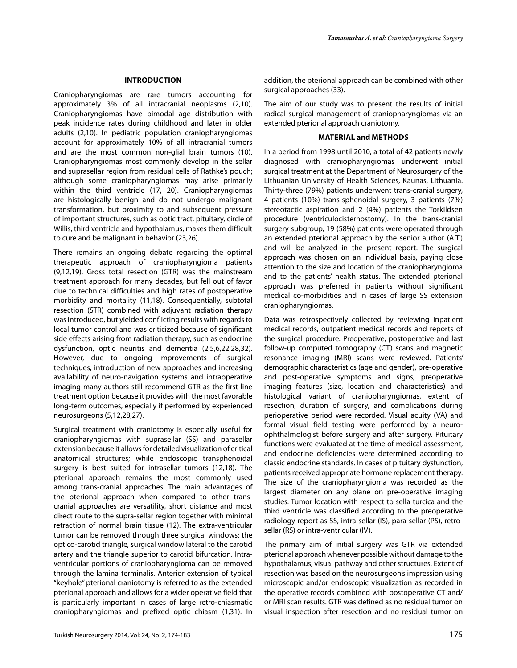### **Introductıon**

Craniopharyngiomas are rare tumors accounting for approximately 3% of all intracranial neoplasms (2,10). Craniopharyngiomas have bimodal age distribution with peak incidence rates during childhood and later in older adults (2,10). In pediatric population craniopharyngiomas account for approximately 10% of all intracranial tumors and are the most common non-glial brain tumors (10). Craniopharyngiomas most commonly develop in the sellar and suprasellar region from residual cells of Rathke's pouch; although some craniopharyngiomas may arise primarily within the third ventricle (17, 20). Craniopharyngiomas are histologically benign and do not undergo malignant transformation, but proximity to and subsequent pressure of important structures, such as optic tract, pituitary, circle of Willis, third ventricle and hypothalamus, makes them difficult to cure and be malignant in behavior (23,26).

There remains an ongoing debate regarding the optimal therapeutic approach of craniopharyngioma patients (9,12,19). Gross total resection (GTR) was the mainstream treatment approach for many decades, but fell out of favor due to technical difficulties and high rates of postoperative morbidity and mortality (11,18). Consequentially, subtotal resection (STR) combined with adjuvant radiation therapy was introduced, but yielded conflicting results with regards to local tumor control and was criticized because of significant side effects arising from radiation therapy, such as endocrine dysfunction, optic neuritis and dementia (2,5,6,22,28,32). However, due to ongoing improvements of surgical techniques, introduction of new approaches and increasing availability of neuro-navigation systems and intraoperative imaging many authors still recommend GTR as the first-line treatment option because it provides with the most favorable long-term outcomes, especially if performed by experienced neurosurgeons (5,12,28,27).

Surgical treatment with craniotomy is especially useful for craniopharyngiomas with suprasellar (SS) and parasellar extension because it allows for detailed visualization of critical anatomical structures; while endoscopic transphenoidal surgery is best suited for intrasellar tumors (12,18). The pterional approach remains the most commonly used among trans-cranial approaches. The main advantages of the pterional approach when compared to other transcranial approaches are versatility, short distance and most direct route to the supra-sellar region together with minimal retraction of normal brain tissue (12). The extra-ventricular tumor can be removed through three surgical windows: the optico-carotid triangle, surgical window lateral to the carotid artery and the triangle superior to carotid bifurcation. Intraventricular portions of craniopharyngioma can be removed through the lamina terminalis. Anterior extension of typical "keyhole" pterional craniotomy is referred to as the extended pterional approach and allows for a wider operative field that is particularly important in cases of large retro-chiasmatic craniopharyngiomas and prefixed optic chiasm (1,31). In

addition, the pterional approach can be combined with other surgical approaches (33).

The aim of our study was to present the results of initial radical surgical management of craniopharyngiomas via an extended pterional approach craniotomy.

### **Materıal and Methods**

In a period from 1998 until 2010, a total of 42 patients newly diagnosed with craniopharyngiomas underwent initial surgical treatment at the Department of Neurosurgery of the Lithuanian University of Health Sciences, Kaunas, Lithuania. Thirty-three (79%) patients underwent trans-cranial surgery, 4 patients (10%) trans-sphenoidal surgery, 3 patients (7%) stereotactic aspiration and 2 (4%) patients the Torkildsen procedure (ventriculocisternostomy). In the trans-cranial surgery subgroup, 19 (58%) patients were operated through an extended pterional approach by the senior author (A.T.) and will be analyzed in the present report. The surgical approach was chosen on an individual basis, paying close attention to the size and location of the craniopharyngioma and to the patients' health status. The extended pterional approach was preferred in patients without significant medical co-morbidities and in cases of large SS extension craniopharyngiomas.

Data was retrospectively collected by reviewing inpatient medical records, outpatient medical records and reports of the surgical procedure. Preoperative, postoperative and last follow-up computed tomography (CT) scans and magnetic resonance imaging (MRI) scans were reviewed. Patients' demographic characteristics (age and gender), pre-operative and post-operative symptoms and signs, preoperative imaging features (size, location and characteristics) and histological variant of craniopharyngiomas, extent of resection, duration of surgery, and complications during perioperative period were recorded. Visual acuity (VA) and formal visual field testing were performed by a neuroophthalmologist before surgery and after surgery. Pituitary functions were evaluated at the time of medical assessment, and endocrine deficiencies were determined according to classic endocrine standards. In cases of pituitary dysfunction, patients received appropriate hormone replacement therapy. The size of the craniopharyngioma was recorded as the largest diameter on any plane on pre-operative imaging studies. Tumor location with respect to sella turcica and the third ventricle was classified according to the preoperative radiology report as SS, intra-sellar (IS), para-sellar (PS), retrosellar (RS) or intra-ventricular (IV).

The primary aim of initial surgery was GTR via extended pterional approach whenever possible without damage to the hypothalamus, visual pathway and other structures. Extent of resection was based on the neurosurgeon's impression using microscopic and/or endoscopic visualization as recorded in the operative records combined with postoperative CT and/ or MRI scan results. GTR was defined as no residual tumor on visual inspection after resection and no residual tumor on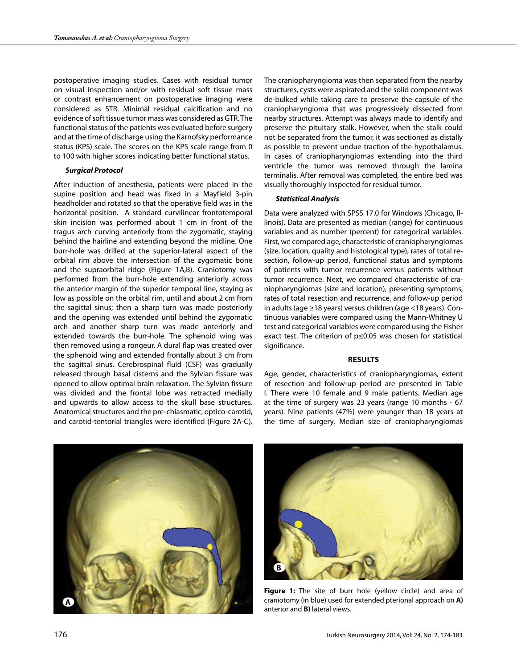postoperative imaging studies. Cases with residual tumor on visual inspection and/or with residual soft tissue mass or contrast enhancement on postoperative imaging were considered as STR. Minimal residual calcification and no evidence of soft tissue tumor mass was considered as GTR. The functional status of the patients was evaluated before surgery and at the time of discharge using the Karnofsky performance status (KPS) scale. The scores on the KPS scale range from 0 to 100 with higher scores indicating better functional status.

## *Surgical Protocol*

After induction of anesthesia, patients were placed in the supine position and head was fixed in a Mayfield 3-pin headholder and rotated so that the operative field was in the horizontal position. A standard curvilinear frontotemporal skin incision was performed about 1 cm in front of the tragus arch curving anteriorly from the zygomatic, staying behind the hairline and extending beyond the midline. One burr-hole was drilled at the superior-lateral aspect of the orbital rim above the intersection of the zygomatic bone and the supraorbital ridge (Figure 1A,B). Craniotomy was performed from the burr-hole extending anteriorly across the anterior margin of the superior temporal line, staying as low as possible on the orbital rim, until and about 2 cm from the sagittal sinus; then a sharp turn was made posteriorly and the opening was extended until behind the zygomatic arch and another sharp turn was made anteriorly and extended towards the burr-hole. The sphenoid wing was then removed using a rongeur. A dural flap was created over the sphenoid wing and extended frontally about 3 cm from the sagittal sinus. Cerebrospinal fluid (CSF) was gradually released through basal cisterns and the Sylvian fissure was opened to allow optimal brain relaxation. The Sylvian fissure was divided and the frontal lobe was retracted medially and upwards to allow access to the skull base structures. Anatomical structures and the pre-chiasmatic, optico-carotid, and carotid-tentorial triangles were identified (Figure 2A-C).

The craniopharyngioma was then separated from the nearby structures, cysts were aspirated and the solid component was de-bulked while taking care to preserve the capsule of the craniopharyngioma that was progressively dissected from nearby structures. Attempt was always made to identify and preserve the pituitary stalk. However, when the stalk could not be separated from the tumor, it was sectioned as distally as possible to prevent undue traction of the hypothalamus. In cases of craniopharyngiomas extending into the third ventricle the tumor was removed through the lamina terminalis. After removal was completed, the entire bed was visually thoroughly inspected for residual tumor.

### *Statistical Analysis*

Data were analyzed with SPSS 17.0 for Windows (Chicago, Illinois). Data are presented as median (range) for continuous variables and as number (percent) for categorical variables. First, we compared age, characteristic of craniopharyngiomas (size, location, quality and histological type), rates of total resection, follow-up period, functional status and symptoms of patients with tumor recurrence versus patients without tumor recurrence. Next, we compared characteristic of craniopharyngiomas (size and location), presenting symptoms, rates of total resection and recurrence, and follow-up period in adults (age ≥18 years) versus children (age <18 years). Continuous variables were compared using the Mann-Whitney U test and categorical variables were compared using the Fisher exact test. The criterion of p≤0.05 was chosen for statistical significance.

#### **Results**

Age, gender, characteristics of craniopharyngiomas, extent of resection and follow-up period are presented in Table I. There were 10 female and 9 male patients. Median age at the time of surgery was 23 years (range 10 months - 67 years). Nine patients (47%) were younger than 18 years at the time of surgery. Median size of craniopharyngiomas





Figure 1: The site of burr hole (yellow circle) and area of craniotomy (in blue) used for extended pterional approach on **A)** anterior and **B)** lateral views.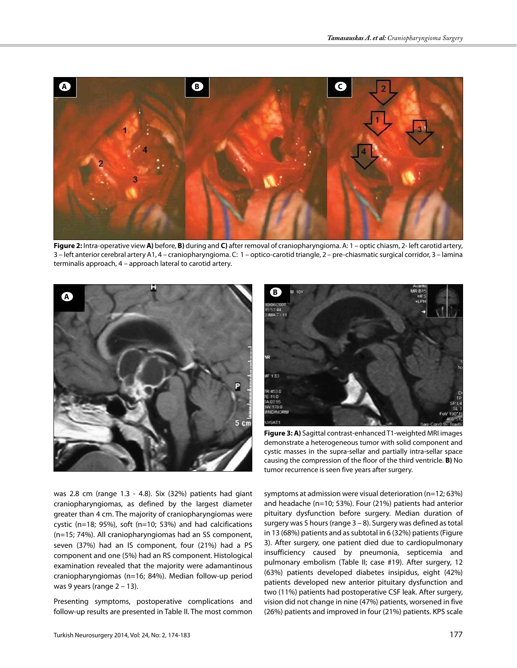

**Figure 2:** Intra-operative view **A)** before, **B)** during and **C)** after removal of craniopharyngioma. A: 1 – optic chiasm, 2- left carotid artery, 3 – left anterior cerebral artery A1, 4 – craniopharyngioma. C: 1 – optico-carotid triangle, 2 – pre-chiasmatic surgical corridor, 3 – lamina terminalis approach, 4 – approach lateral to carotid artery.





**Figure 3: A)** Sagittal contrast-enhanced T1-weighted MRI images demonstrate a heterogeneous tumor with solid component and cystic masses in the supra-sellar and partially intra-sellar space causing the compression of the floor of the third ventricle. **B)** No tumor recurrence is seen five years after surgery.

was 2.8 cm (range 1.3 - 4.8). Six (32%) patients had giant craniopharyngiomas, as defined by the largest diameter greater than 4 cm. The majority of craniopharyngiomas were cystic (n=18; 95%), soft (n=10; 53%) and had calcifications (n=15; 74%). All craniopharyngiomas had an SS component, seven (37%) had an IS component, four (21%) had a PS component and one (5%) had an RS component. Histological examination revealed that the majority were adamantinous craniopharyngiomas (n=16; 84%). Median follow-up period was 9 years (range  $2 - 13$ ).

Presenting symptoms, postoperative complications and follow-up results are presented in Table II. The most common symptoms at admission were visual deterioration (n=12; 63%) and headache (n=10; 53%). Four (21%) patients had anterior pituitary dysfunction before surgery. Median duration of surgery was 5 hours (range 3 – 8). Surgery was defined as total in 13 (68%) patients and as subtotal in 6 (32%) patients (Figure 3). After surgery, one patient died due to cardiopulmonary insufficiency caused by pneumonia, septicemia and pulmonary embolism (Table II; case #19). After surgery, 12 (63%) patients developed diabetes insipidus, eight (42%) patients developed new anterior pituitary dysfunction and two (11%) patients had postoperative CSF leak. After surgery, vision did not change in nine (47%) patients, worsened in five (26%) patients and improved in four (21%) patients. KPS scale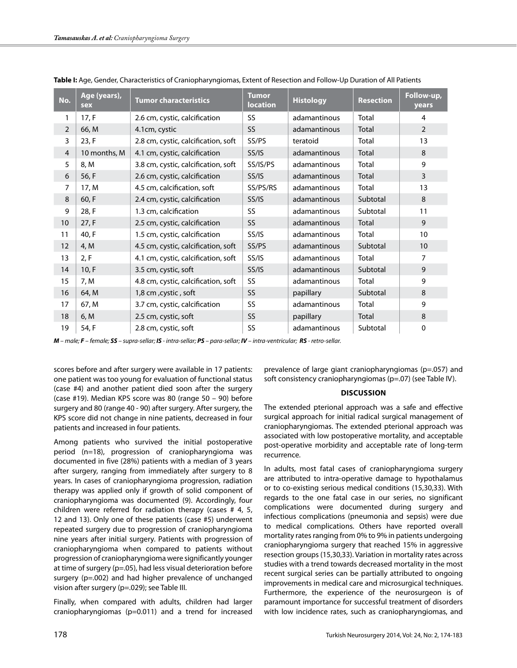| No.            | Age (years),<br>sex | <b>Tumor characteristics</b>        | <b>Tumor</b><br><b>location</b> | <b>Histology</b> | <b>Resection</b> | Follow-up,<br>years |
|----------------|---------------------|-------------------------------------|---------------------------------|------------------|------------------|---------------------|
| 1              | 17, F               | 2.6 cm, cystic, calcification       | SS                              | adamantinous     | Total            | 4                   |
| 2              | 66, M               | 4.1cm, cystic                       | SS                              | adamantinous     | Total            | $\overline{2}$      |
| 3              | 23, F               | 2.8 cm, cystic, calcification, soft | SS/PS                           | teratoid         | Total            | 13                  |
| $\overline{4}$ | 10 months, M        | 4.1 cm, cystic, calcification       | SS/IS                           | adamantinous     | Total            | 8                   |
| 5              | 8, M                | 3.8 cm, cystic, calcification, soft | SS/IS/PS                        | adamantinous     | Total            | 9                   |
| 6              | 56, F               | 2.6 cm, cystic, calcification       | SS/IS                           | adamantinous     | Total            | 3                   |
| 7              | 17, M               | 4.5 cm, calcification, soft         | SS/PS/RS                        | adamantinous     | Total            | 13                  |
| 8              | 60, F               | 2.4 cm, cystic, calcification       | SS/IS                           | adamantinous     | Subtotal         | 8                   |
| 9              | 28, F               | 1.3 cm, calcification               | SS                              | adamantinous     | Subtotal         | 11                  |
| 10             | 27, F               | 2.5 cm, cystic, calcification       | SS                              | adamantinous     | Total            | 9                   |
| 11             | 40, F               | 1.5 cm, cystic, calcification       | SS/IS                           | adamantinous     | Total            | 10                  |
| 12             | 4, M                | 4.5 cm, cystic, calcification, soft | SS/PS                           | adamantinous     | Subtotal         | 10                  |
| 13             | 2, F                | 4.1 cm, cystic, calcification, soft | SS/IS                           | adamantinous     | Total            | 7                   |
| 14             | 10, F               | 3.5 cm, cystic, soft                | SS/IS                           | adamantinous     | Subtotal         | 9                   |
| 15             | 7, M                | 4.8 cm, cystic, calcification, soft | SS                              | adamantinous     | Total            | 9                   |
| 16             | 64, M               | 1,8 cm, cystic, soft                | <b>SS</b>                       | papillary        | Subtotal         | 8                   |
| 17             | 67, M               | 3.7 cm, cystic, calcification       | SS                              | adamantinous     | Total            | 9                   |
| 18             | 6, M                | 2.5 cm, cystic, soft                | <b>SS</b>                       | papillary        | Total            | 8                   |
| 19             | 54, F               | 2.8 cm, cystic, soft                | SS                              | adamantinous     | Subtotal         | 0                   |

**Table I:** Age, Gender, Characteristics of Craniopharyngiomas, Extent of Resection and Follow-Up Duration of All Patients

*M – male; F – female; SS – supra-sellar; IS - intra-sellar; PS – para-sellar; IV – intra-ventricular; RS - retro-sellar.*

scores before and after surgery were available in 17 patients: one patient was too young for evaluation of functional status (case #4) and another patient died soon after the surgery (case #19). Median KPS score was 80 (range 50 – 90) before surgery and 80 (range 40 - 90) after surgery. After surgery, the KPS score did not change in nine patients, decreased in four patients and increased in four patients.

Among patients who survived the initial postoperative period (n=18), progression of craniopharyngioma was documented in five (28%) patients with a median of 3 years after surgery, ranging from immediately after surgery to 8 years. In cases of craniopharyngioma progression, radiation therapy was applied only if growth of solid component of craniopharyngioma was documented (9). Accordingly, four children were referred for radiation therapy (cases # 4, 5, 12 and 13). Only one of these patients (case #5) underwent repeated surgery due to progression of craniopharyngioma nine years after initial surgery. Patients with progression of craniopharyngioma when compared to patients without progression of craniopharyngioma were significantly younger at time of surgery (p=.05), had less visual deterioration before surgery (p=.002) and had higher prevalence of unchanged vision after surgery (p=.029); see Table III.

Finally, when compared with adults, children had larger craniopharyngiomas (p=0.011) and a trend for increased

prevalence of large giant craniopharyngiomas (p=.057) and soft consistency craniopharyngiomas (p=.07) (see Table IV).

## **DISCUSSION**

The extended pterional approach was a safe and effective surgical approach for initial radical surgical management of craniopharyngiomas. The extended pterional approach was associated with low postoperative mortality, and acceptable post-operative morbidity and acceptable rate of long-term recurrence.

In adults, most fatal cases of craniopharyngioma surgery are attributed to intra-operative damage to hypothalamus or to co-existing serious medical conditions (15,30,33). With regards to the one fatal case in our series, no significant complications were documented during surgery and infectious complications (pneumonia and sepsis) were due to medical complications. Others have reported overall mortality rates ranging from 0% to 9% in patients undergoing craniopharyngioma surgery that reached 15% in aggressive resection groups (15,30,33). Variation in mortality rates across studies with a trend towards decreased mortality in the most recent surgical series can be partially attributed to ongoing improvements in medical care and microsurgical techniques. Furthermore, the experience of the neurosurgeon is of paramount importance for successful treatment of disorders with low incidence rates, such as craniopharyngiomas, and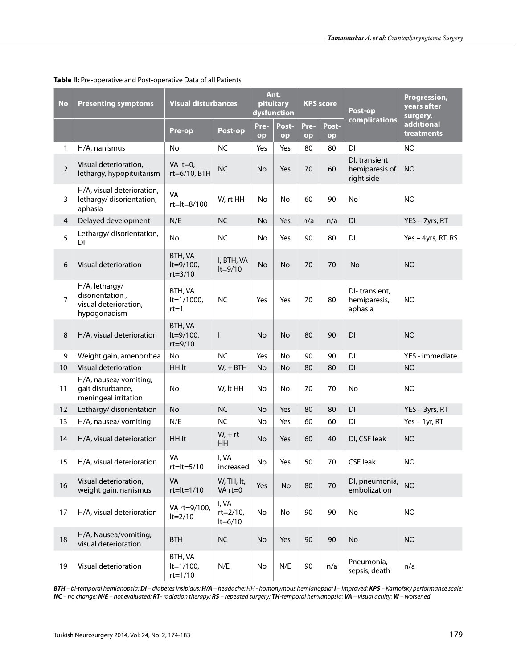| <b>No</b>      | <b>Presenting symptoms</b>                                                 | <b>Visual disturbances</b>                    |                                | Ant.<br>pituitary<br>dysfunction |             | <b>KPS</b> score |             | Post-op                                       | Progression,<br>years after<br>surgery, |
|----------------|----------------------------------------------------------------------------|-----------------------------------------------|--------------------------------|----------------------------------|-------------|------------------|-------------|-----------------------------------------------|-----------------------------------------|
|                |                                                                            | Pre-op                                        | Post-op                        | Pre-<br>op                       | Post-<br>op | Pre-<br>op       | Post-<br>op | complications                                 | additional<br>treatments                |
| 1              | H/A, nanismus                                                              | No                                            | <b>NC</b>                      | Yes                              | Yes         | 80               | 80          | DI                                            | <b>NO</b>                               |
| $\overline{2}$ | Visual deterioration,<br>lethargy, hypopituitarism                         | VA $lt=0$ ,<br>rt=6/10, BTH                   | <b>NC</b>                      | No                               | Yes         | 70               | 60          | DI, transient<br>hemiparesis of<br>right side | <b>NO</b>                               |
| 3              | H/A, visual deterioration,<br>lethargy/disorientation,<br>aphasia          | VA<br>rt=lt=8/100                             | W, rt HH                       | No                               | <b>No</b>   | 60               | 90          | No                                            | <b>NO</b>                               |
| 4              | Delayed development                                                        | N/E                                           | <b>NC</b>                      | No                               | Yes         | n/a              | n/a         | DI                                            | YES - 7yrs, RT                          |
| 5              | Lethargy/disorientation,<br>DI                                             | No                                            | <b>NC</b>                      | <b>No</b>                        | Yes         | 90               | 80          | $\mathsf{D}\mathsf{I}$                        | Yes - 4yrs, RT, RS                      |
| 6              | Visual deterioration                                                       | <b>BTH, VA</b><br>$lt=9/100$ ,<br>$rt = 3/10$ | I, BTH, VA<br>$lt=9/10$        | No                               | <b>No</b>   | 70               | 70          | <b>No</b>                                     | <b>NO</b>                               |
| 7              | H/A, lethargy/<br>disorientation,<br>visual deterioration,<br>hypogonadism | <b>BTH, VA</b><br>$lt=1/1000$ ,<br>$rt=1$     | <b>NC</b>                      | Yes                              | Yes         | 70               | 80          | DI-transient,<br>hemiparesis,<br>aphasia      | <b>NO</b>                               |
| 8              | H/A, visual deterioration                                                  | BTH, VA<br>$lt=9/100$ ,<br>$rt = 9/10$        | I                              | No                               | No          | 80               | 90          | DI                                            | <b>NO</b>                               |
| 9              | Weight gain, amenorrhea                                                    | No                                            | <b>NC</b>                      | Yes                              | <b>No</b>   | 90               | 90          | DI                                            | YES - immediate                         |
| 10             | Visual deterioration                                                       | HH It                                         | $W_1 + BTH$                    | <b>No</b>                        | <b>No</b>   | 80               | 80          | DI                                            | <b>NO</b>                               |
| 11             | H/A, nausea/ vomiting,<br>gait disturbance,<br>meningeal irritation        | <b>No</b>                                     | W, It HH                       | No                               | <b>No</b>   | 70               | 70          | No                                            | <b>NO</b>                               |
| 12             | Lethargy/disorientation                                                    | <b>No</b>                                     | <b>NC</b>                      | <b>No</b>                        | Yes         | 80               | 80          | DI                                            | YES - 3yrs, RT                          |
| 13             | H/A, nausea/ vomiting                                                      | N/E                                           | <b>NC</b>                      | No                               | Yes         | 60               | 60          | $\mathsf{D}\mathsf{I}$                        | Yes $-1$ yr, RT                         |
| 14             | H/A, visual deterioration                                                  | HH It                                         | $W_1 + rt$<br><b>HH</b>        | No                               | Yes         | 60               | 40          | DI, CSF leak                                  | <b>NO</b>                               |
| 15             | H/A, visual deterioration                                                  | VA<br>$rt=lt=5/10$                            | I, VA<br>increased             | No                               | Yes         | 50               | 70          | <b>CSF leak</b>                               | <b>NO</b>                               |
| 16             | Visual deterioration,<br>weight gain, nanismus                             | VA<br>$rt=lt=1/10$                            | W, TH, lt,<br>VA rt=0          | Yes                              | No          | 80               | $70\,$      | DI, pneumonia,<br>embolization                | <b>NO</b>                               |
| 17             | H/A, visual deterioration                                                  | VA rt=9/100,<br>$lt=2/10$                     | I, VA<br>rt=2/10,<br>$lt=6/10$ | No                               | No          | 90               | 90          | No                                            | <b>NO</b>                               |
| 18             | H/A, Nausea/vomiting,<br>visual deterioration                              | <b>BTH</b>                                    | <b>NC</b>                      | No                               | Yes         | 90               | 90          | No                                            | <b>NO</b>                               |
| 19             | Visual deterioration                                                       | BTH, VA<br>$lt=1/100$ ,<br>$rt = 1/10$        | N/E                            | No                               | N/E         | 90               | n/a         | Pneumonia,<br>sepsis, death                   | n/a                                     |

**Table II:** Pre-operative and Post-operative Data of all Patients

*BTH – bi-temporal hemianopsia; DI – diabetes insipidus; H/A – headache; HH - homonymous hemianopsia; I – improved; KPS – Karnofsky performance scale;*  NC - no change; N/E - not evaluated; RT-radiation therapy; RS - repeated surgery; TH-temporal hemianopsia; VA - visual acuity; W - worsened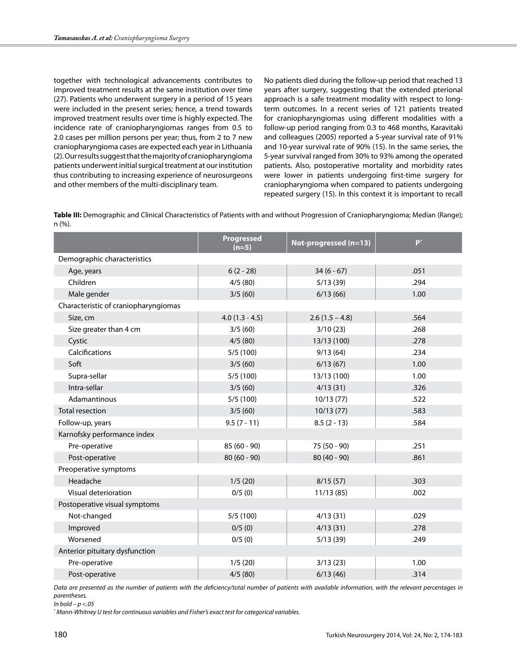together with technological advancements contributes to improved treatment results at the same institution over time (27). Patients who underwent surgery in a period of 15 years were included in the present series; hence, a trend towards improved treatment results over time is highly expected. The incidence rate of craniopharyngiomas ranges from 0.5 to 2.0 cases per million persons per year; thus, from 2 to 7 new craniopharyngioma cases are expected each year in Lithuania (2). Our results suggest that the majority of craniopharyngioma patients underwent initial surgical treatment at our institution thus contributing to increasing experience of neurosurgeons and other members of the multi-disciplinary team.

No patients died during the follow-up period that reached 13 years after surgery, suggesting that the extended pterional approach is a safe treatment modality with respect to longterm outcomes. In a recent series of 121 patients treated for craniopharyngiomas using different modalities with a follow-up period ranging from 0.3 to 468 months, Karavitaki and colleagues (2005) reported a 5-year survival rate of 91% and 10-year survival rate of 90% (15). In the same series, the 5-year survival ranged from 30% to 93% among the operated patients. Also, postoperative mortality and morbidity rates were lower in patients undergoing first-time surgery for craniopharyngioma when compared to patients undergoing repeated surgery (15). In this context it is important to recall

**Table III:** Demographic and Clinical Characteristics of Patients with and without Progression of Craniopharyngioma; Median (Range); n (%).

|                                      | Progressed<br>$(n=5)$ | Not-progressed (n=13) | $P^*$ |
|--------------------------------------|-----------------------|-----------------------|-------|
| Demographic characteristics          |                       |                       |       |
| Age, years                           | $6(2 - 28)$           | $34(6-67)$            | .051  |
| Children                             | 4/5(80)               | 5/13(39)              | .294  |
| Male gender                          | 3/5(60)               | 6/13(66)              | 1.00  |
| Characteristic of craniopharyngiomas |                       |                       |       |
| Size, cm                             | $4.0(1.3 - 4.5)$      | $2.6(1.5 - 4.8)$      | .564  |
| Size greater than 4 cm               | 3/5(60)               | 3/10(23)              | .268  |
| Cystic                               | 4/5(80)               | 13/13 (100)           | .278  |
| Calcifications                       | 5/5(100)              | 9/13(64)              | .234  |
| Soft                                 | 3/5(60)               | 6/13(67)              | 1.00  |
| Supra-sellar                         | 5/5(100)              | 13/13 (100)           | 1.00  |
| Intra-sellar                         | 3/5(60)               | 4/13(31)              | .326  |
| Adamantinous                         | 5/5(100)              | 10/13(77)             | .522  |
| Total resection                      | 3/5(60)               | 10/13(77)             | .583  |
| Follow-up, years                     | $9.5(7 - 11)$         | $8.5(2 - 13)$         | .584  |
| Karnofsky performance index          |                       |                       |       |
| Pre-operative                        | $85(60 - 90)$         | 75 (50 - 90)          | .251  |
| Post-operative                       | $80(60 - 90)$         | $80(40 - 90)$         | .861  |
| Preoperative symptoms                |                       |                       |       |
| Headache                             | 1/5(20)               | 8/15(57)              | .303  |
| Visual deterioration                 | 0/5(0)                | 11/13(85)             | .002  |
| Postoperative visual symptoms        |                       |                       |       |
| Not-changed                          | 5/5(100)              | 4/13(31)              | .029  |
| Improved                             | 0/5(0)                | 4/13(31)              | .278  |
| Worsened                             | 0/5(0)                | 5/13(39)              | .249  |
| Anterior pituitary dysfunction       |                       |                       |       |
| Pre-operative                        | 1/5(20)               | 3/13(23)              | 1.00  |
| Post-operative                       | 4/5(80)               | 6/13(46)              | .314  |

*Data are presented as the number of patients with the deficiency/total number of patients with available information, with the relevant percentages in parentheses.*

*In bold – p <.05*

*\* Mann-Whitney U test for continuous variables and Fisher's exact test for categorical variables.*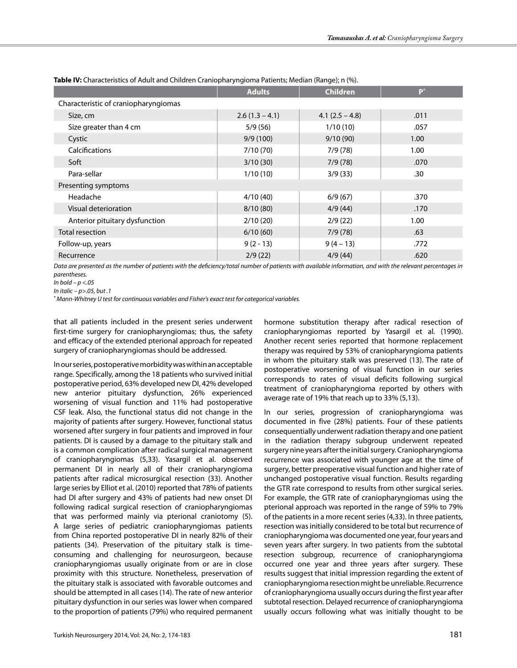|                                      | <b>Adults</b>    | <b>Children</b>   | $\mathbf{p}^*$ |
|--------------------------------------|------------------|-------------------|----------------|
| Characteristic of craniopharyngiomas |                  |                   |                |
| Size, cm                             | $2.6(1.3 - 4.1)$ | $4.1 (2.5 - 4.8)$ | .011           |
| Size greater than 4 cm               | 5/9(56)          | 1/10(10)          | .057           |
| Cystic                               | 9/9(100)         | 9/10(90)          | 1.00           |
| <b>Calcifications</b>                | 7/10(70)         | 7/9(78)           | 1.00           |
| Soft                                 | 3/10(30)         | 7/9(78)           | .070           |
| Para-sellar                          | 1/10(10)         | 3/9(33)           | .30            |
| Presenting symptoms                  |                  |                   |                |
| Headache                             | 4/10(40)         | 6/9(67)           | .370           |
| Visual deterioration                 | 8/10(80)         | 4/9(44)           | .170           |
| Anterior pituitary dysfunction       | 2/10(20)         | 2/9(22)           | 1.00           |
| Total resection                      | 6/10(60)         | 7/9(78)           | .63            |
| Follow-up, years                     | $9(2 - 13)$      | $9(4-13)$         | .772           |
| Recurrence                           | 2/9(22)          | 4/9(44)           | .620           |

**Table IV:** Characteristics of Adult and Children Craniopharyngioma Patients; Median (Range); n (%).

Data are presented as the number of patients with the deficiency/total number of patients with available information, and with the relevant percentages in *parentheses.*

*In bold – p <.05*

*\* Mann-Whitney U test for continuous variables and Fisher's exact test for categorical variables.*

that all patients included in the present series underwent first-time surgery for craniopharyngiomas; thus, the safety and efficacy of the extended pterional approach for repeated surgery of craniopharyngiomas should be addressed.

In our series, postoperative morbidity was within an acceptable range. Specifically, among the 18 patients who survived initial postoperative period, 63% developed new DI, 42% developed new anterior pituitary dysfunction, 26% experienced worsening of visual function and 11% had postoperative CSF leak. Also, the functional status did not change in the majority of patients after surgery. However, functional status worsened after surgery in four patients and improved in four patients. DI is caused by a damage to the pituitary stalk and is a common complication after radical surgical management of craniopharyngiomas (5,33). Yasargil et al. observed permanent DI in nearly all of their craniopharyngioma patients after radical microsurgical resection (33). Another large series by Elliot et al. (2010) reported that 78% of patients had DI after surgery and 43% of patients had new onset DI following radical surgical resection of craniopharyngiomas that was performed mainly via pterional craniotomy (5). A large series of pediatric craniopharyngiomas patients from China reported postoperative DI in nearly 82% of their patients (34). Preservation of the pituitary stalk is timeconsuming and challenging for neurosurgeon, because craniopharyngiomas usually originate from or are in close proximity with this structure. Nonetheless, preservation of the pituitary stalk is associated with favorable outcomes and should be attempted in all cases (14). The rate of new anterior pituitary dysfunction in our series was lower when compared to the proportion of patients (79%) who required permanent

Turkish Neurosurgery 2014, Vol: 24, No: 2, 174-183 181

hormone substitution therapy after radical resection of craniopharyngiomas reported by Yasargil et al. (1990). Another recent series reported that hormone replacement therapy was required by 53% of craniopharyngioma patients in whom the pituitary stalk was preserved (13). The rate of postoperative worsening of visual function in our series corresponds to rates of visual deficits following surgical treatment of craniopharyngioma reported by others with average rate of 19% that reach up to 33% (5,13).

In our series, progression of craniopharyngioma was documented in five (28%) patients. Four of these patients consequentially underwent radiation therapy and one patient in the radiation therapy subgroup underwent repeated surgery nine years after the initial surgery. Craniopharyngioma recurrence was associated with younger age at the time of surgery, better preoperative visual function and higher rate of unchanged postoperative visual function. Results regarding the GTR rate correspond to results from other surgical series. For example, the GTR rate of craniopharyngiomas using the pterional approach was reported in the range of 59% to 79% of the patients in a more recent series (4,33). In three patients, resection was initially considered to be total but recurrence of craniopharyngioma was documented one year, four years and seven years after surgery. In two patients from the subtotal resection subgroup, recurrence of craniopharyngioma occurred one year and three years after surgery. These results suggest that initial impression regarding the extent of craniopharyngioma resection might be unreliable. Recurrence of craniopharyngioma usually occurs during the first year after subtotal resection. Delayed recurrence of craniopharyngioma usually occurs following what was initially thought to be

*In italic – p>.05, but .1*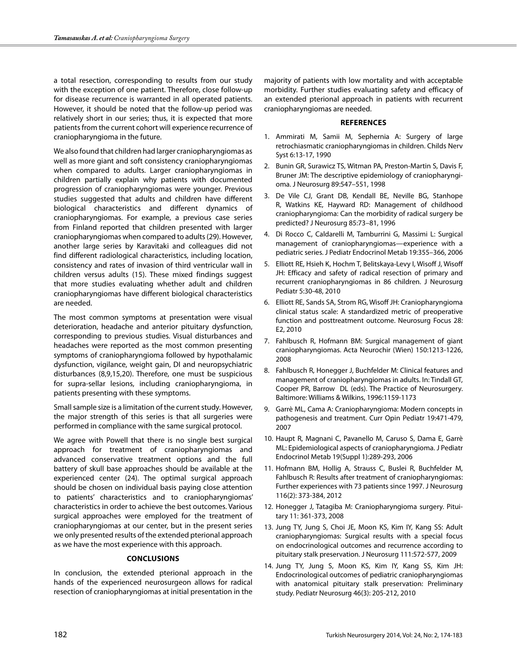a total resection, corresponding to results from our study with the exception of one patient. Therefore, close follow-up for disease recurrence is warranted in all operated patients. However, it should be noted that the follow-up period was relatively short in our series; thus, it is expected that more patients from the current cohort will experience recurrence of craniopharyngioma in the future.

We also found that children had larger craniopharyngiomas as well as more giant and soft consistency craniopharyngiomas when compared to adults. Larger craniopharyngiomas in children partially explain why patients with documented progression of craniopharyngiomas were younger. Previous studies suggested that adults and children have different biological characteristics and different dynamics of craniopharyngiomas. For example, a previous case series from Finland reported that children presented with larger craniopharyngiomas when compared to adults (29). However, another large series by Karavitaki and colleagues did not find different radiological characteristics, including location, consistency and rates of invasion of third ventricular wall in children versus adults (15). These mixed findings suggest that more studies evaluating whether adult and children craniopharyngiomas have different biological characteristics are needed.

The most common symptoms at presentation were visual deterioration, headache and anterior pituitary dysfunction, corresponding to previous studies. Visual disturbances and headaches were reported as the most common presenting symptoms of craniopharyngioma followed by hypothalamic dysfunction, vigilance, weight gain, DI and neuropsychiatric disturbances (8,9,15,20). Therefore, one must be suspicious for supra-sellar lesions, including craniopharyngioma, in patients presenting with these symptoms.

Small sample size is a limitation of the current study. However, the major strength of this series is that all surgeries were performed in compliance with the same surgical protocol.

We agree with Powell that there is no single best surgical approach for treatment of craniopharyngiomas and advanced conservative treatment options and the full battery of skull base approaches should be available at the experienced center (24). The optimal surgical approach should be chosen on individual basis paying close attention to patients' characteristics and to craniopharyngiomas' characteristics in order to achieve the best outcomes. Various surgical approaches were employed for the treatment of craniopharyngiomas at our center, but in the present series we only presented results of the extended pterional approach as we have the most experience with this approach.

## **ConclusIons**

In conclusion, the extended pterional approach in the hands of the experienced neurosurgeon allows for radical resection of craniopharyngiomas at initial presentation in the

majority of patients with low mortality and with acceptable morbidity. Further studies evaluating safety and efficacy of an extended pterional approach in patients with recurrent craniopharyngiomas are needed.

### **References**

- 1. Ammirati M, Samii M, Sephernia A: Surgery of large retrochiasmatic craniopharyngiomas in children. Childs Nerv Syst 6:13-17, 1990
- 2. Bunin GR, Surawicz TS, Witman PA, Preston-Martin S, Davis F, Bruner JM: The descriptive epidemiology of craniopharyngioma. J Neurosurg 89:547–551, 1998
- 3. De Vile CJ, Grant DB, Kendall BE, Neville BG, Stanhope R, Watkins KE, Hayward RD: Management of childhood craniopharyngioma: Can the morbidity of radical surgery be predicted? J Neurosurg 85:73–81, 1996
- 4. Di Rocco C, Caldarelli M, Tamburrini G, Massimi L: Surgical management of craniopharyngiomas—experience with a pediatric series. J Pediatr Endocrinol Metab 19:355–366, 2006
- 5. Elliott RE, Hsieh K, Hochm T, Belitskaya-Levy I, Wisoff J, Wisoff JH: Efficacy and safety of radical resection of primary and recurrent craniopharyngiomas in 86 children. J Neurosurg Pediatr 5:30-48, 2010
- 6. Elliott RE, Sands SA, Strom RG, Wisoff JH: Craniopharyngioma clinical status scale: A standardized metric of preoperative function and posttreatment outcome. Neurosurg Focus 28: E2, 2010
- 7. Fahlbusch R, Hofmann BM: Surgical management of giant craniopharyngiomas. Acta Neurochir (Wien) 150:1213-1226, 2008
- 8. Fahlbusch R, Honegger J, Buchfelder M: Clinical features and management of craniopharyngiomas in adults. In: Tindall GT, Cooper PR, Barrow DL (eds). The Practice of Neurosurgery. Baltimore: Williams & Wilkins, 1996:1159-1173
- 9. Garrè ML, Cama A: Craniopharyngioma: Modern concepts in pathogenesis and treatment. Curr Opin Pediatr 19:471-479, 2007
- 10. Haupt R, Magnani C, Pavanello M, Caruso S, Dama E, Garrè ML: Epidemiological aspects of craniopharyngioma. J Pediatr Endocrinol Metab 19(Suppl 1):289-293, 2006
- 11. Hofmann BM, Hollig A, Strauss C, Buslei R, Buchfelder M, Fahlbusch R: Results after treatment of craniopharyngiomas: Further experiences with 73 patients since 1997. J Neurosurg 116(2): 373-384, 2012
- 12. Honegger J, Tatagiba M: Craniopharyngioma surgery. Pituitary 11: 361-373, 2008
- 13. Jung TY, Jung S, Choi JE, Moon KS, Kim IY, Kang SS: Adult craniopharyngiomas: Surgical results with a special focus on endocrinological outcomes and recurrence according to pituitary stalk preservation. J Neurosurg 111:572-577, 2009
- 14. Jung TY, Jung S, Moon KS, Kim IY, Kang SS, Kim JH: Endocrinological outcomes of pediatric craniopharyngiomas with anatomical pituitary stalk preservation: Preliminary study. Pediatr Neurosurg 46(3): 205-212, 2010